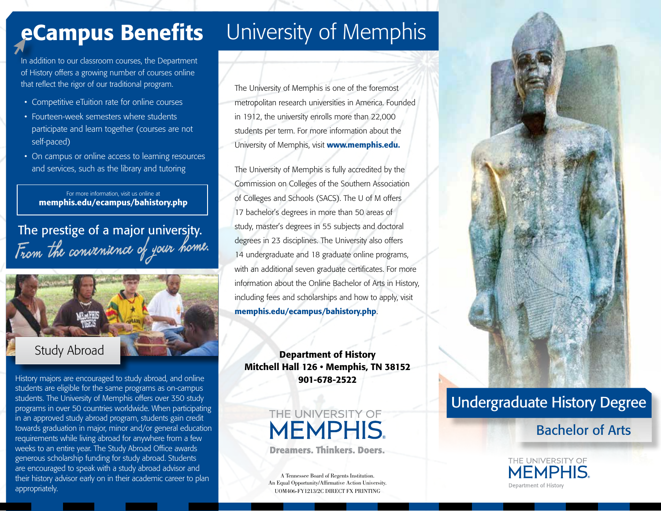# eCampus Benefits

In addition to our classroom courses, the Department of History offers a growing number of courses online that reflect the rigor of our traditional program.

- Competitive eTuition rate for online courses
- Fourteen-week semesters where students participate and learn together (courses are not self-paced)
- On campus or online access to learning resources and services, such as the library and tutoring

For more information, visit us online at memphis.edu/ecampus/bahistory.php

From the convenience of your home. The prestige of a major university.



History majors are encouraged to study abroad, and online students are eligible for the same programs as on-campus students. The University of Memphis offers over 350 study programs in over 50 countries worldwide. When participating in an approved study abroad program, students gain credit towards graduation in major, minor and/or general education requirements while living abroad for anywhere from a few weeks to an entire year. The Study Abroad Office awards generous scholarship funding for study abroad. Students are encouraged to speak with a study abroad advisor and their history advisor early on in their academic career to plan appropriately.

# University of Memphis

The University of Memphis is one of the foremost metropolitan research universities in America. Founded in 1912, the university enrolls more than 22,000 students per term. For more information about the University of Memphis, visit www.memphis.edu.

The University of Memphis is fully accredited by the Commission on Colleges of the Southern Association of Colleges and Schools (SACS). The U of M offers 17 bachelor's degrees in more than 50 areas of study, master's degrees in 55 subjects and doctoral degrees in 23 disciplines. The University also offers 14 undergraduate and 18 graduate online programs, with an additional seven graduate certificates. For more information about the Online Bachelor of Arts in History, including fees and scholarships and how to apply, visit memphis.edu/ecampus/bahistory.php.

Department of History Mitchell Hall 126 • Memphis, TN 38152 901-678-2522

> THE UNIVERSITY OF **MEMPHIS Dreamers, Thinkers, Doers.**

A Tennessee Board of Regents Institution. An Equal Opportunity/Affirmative Action University. UOM406-FY1213/2C DIRECT FX PRINTING



## Undergraduate History Degree

### Bachelor of Arts